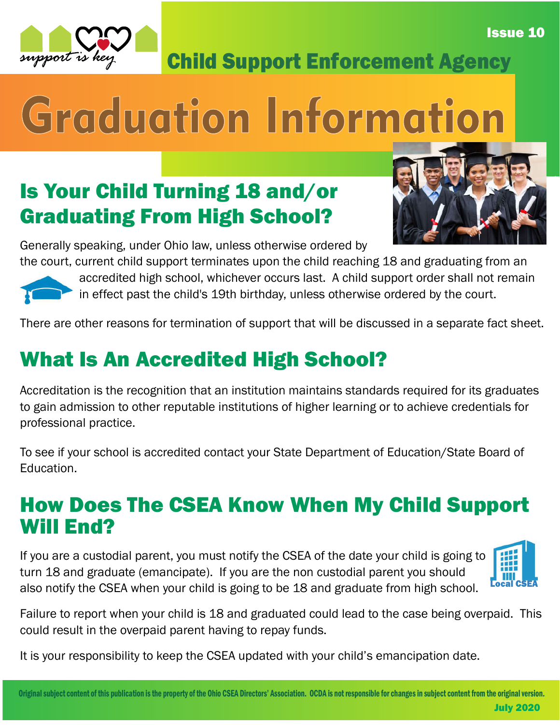



Child Support Enforcement Agency

# Graduation Information

#### Is Your Child Turning 18 and/or Graduating From High School?



Generally speaking, under Ohio law, unless otherwise ordered by

the court, current child support terminates upon the child reaching 18 and graduating from an accredited high school, whichever occurs last. A child support order shall not remain in effect past the child's 19th birthday, unless otherwise ordered by the court.

There are other reasons for termination of support that will be discussed in a separate fact sheet.

### What Is An Accredited High School?

Accreditation is the recognition that an institution maintains standards required for its graduates to gain admission to other reputable institutions of higher learning or to achieve credentials for professional practice.

To see if your school is accredited contact your State Department of Education/State Board of Education.

#### How Does The CSEA Know When My Child Support Will End?

If you are a custodial parent, you must notify the CSEA of the date your child is going to turn 18 and graduate (emancipate). If you are the non custodial parent you should also notify the CSEA when your child is going to be 18 and graduate from high school.



Failure to report when your child is 18 and graduated could lead to the case being overpaid. This could result in the overpaid parent having to repay funds.

It is your responsibility to keep the CSEA updated with your child's emancipation date.